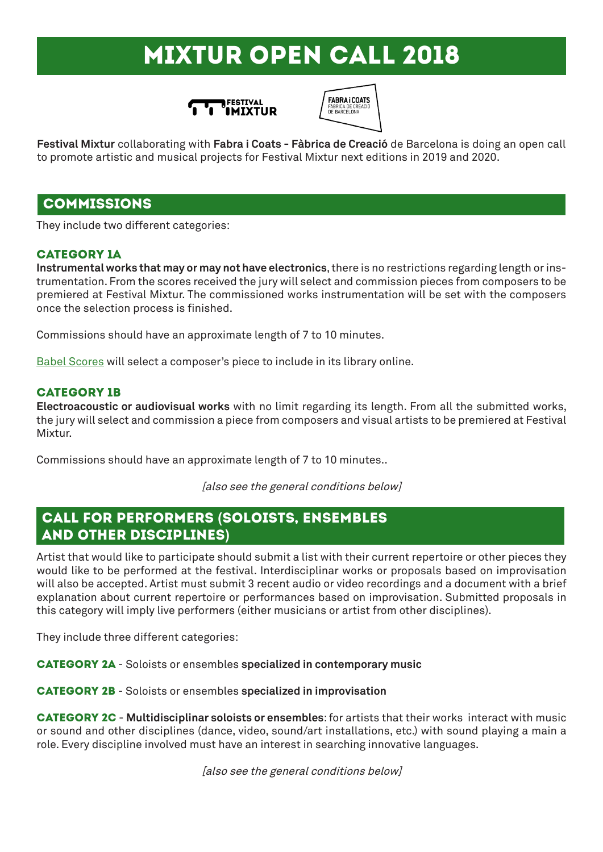# MIXTUR open call 2018





**Festival Mixtur** collaborating with **Fabra i Coats - Fàbrica de Creació** de Barcelona is doing an open call to promote artistic and musical projects for Festival Mixtur next editions in 2019 and 2020.

## commissions

They include two different categories:

#### CATEGORY 1A

**Instrumental works that may or may not have electronics**, there is no restrictions regarding length or instrumentation. From the scores received the jury will select and commission pieces from composers to be premiered at Festival Mixtur. The commissioned works instrumentation will be set with the composers once the selection process is finished.

Commissions should have an approximate length of 7 to 10 minutes.

Babel Scores will select a composer's piece to include in its library online.

#### **CATEGORY 1B**

**Electroacoustic or audiovisual works** with no limit regarding its length. From all the submitted works, the jury will select and commission a piece from composers and visual artists to be premiered at Festival Mixtur.

Commissions should have an approximate length of 7 to 10 minutes..

[also see the general conditions below]

# CALL FOR PERFORMERS **(**SOLOISTS, ENSEMBLES AND OTHER DISCIPLINES**)**

Artist that would like to participate should submit a list with their current repertoire or other pieces they would like to be performed at the festival. Interdisciplinar works or proposals based on improvisation will also be accepted. Artist must submit 3 recent audio or video recordings and a document with a brief explanation about current repertoire or performances based on improvisation. Submitted proposals in this category will imply live performers (either musicians or artist from other disciplines).

They include three different categories:

Category 2A - Soloists or ensembles **specialized in contemporary music**

Category 2b - Soloists or ensembles **specialized in improvisation**

**CATEGORY 2C - Multidisciplinar soloists or ensembles:** for artists that their works interact with music or sound and other disciplines (dance, video, sound/art installations, etc.) with sound playing a main a role. Every discipline involved must have an interest in searching innovative languages.

[also see the general conditions below]